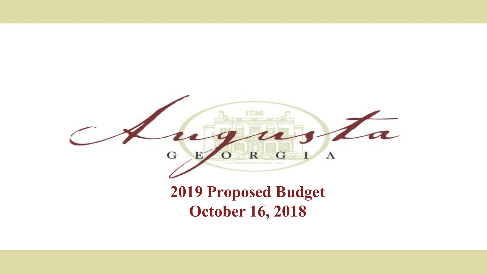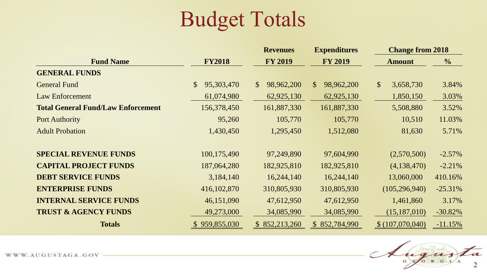### Budget Totals

|                                           | <b>Revenues</b>           |                            | <b>Expenditures</b>        | <b>Change from 2018</b>    |               |  |
|-------------------------------------------|---------------------------|----------------------------|----------------------------|----------------------------|---------------|--|
| <b>Fund Name</b>                          | <b>FY2018</b>             | <b>FY 2019</b>             |                            | <b>Amount</b>              | $\frac{6}{6}$ |  |
| <b>GENERAL FUNDS</b>                      |                           |                            |                            |                            |               |  |
| <b>General Fund</b>                       | 95,303,470<br>$\mathbb S$ | 98,962,200<br>$\mathbb{S}$ | $\mathbb{S}$<br>98,962,200 | $\mathcal{S}$<br>3,658,730 | 3.84%         |  |
| <b>Law Enforcement</b>                    | 61,074,980                | 62,925,130                 | 62,925,130                 | 1,850,150                  | 3.03%         |  |
| <b>Total General Fund/Law Enforcement</b> | 156,378,450               | 161,887,330                | 161,887,330                | 5,508,880                  | 3.52%         |  |
| <b>Port Authority</b>                     | 95,260                    | 105,770                    | 105,770                    | 10,510                     | 11.03%        |  |
| <b>Adult Probation</b>                    | 1,430,450                 | 1,295,450                  | 1,512,080                  | 81,630                     | 5.71%         |  |
|                                           |                           |                            |                            |                            |               |  |
| <b>SPECIAL REVENUE FUNDS</b>              | 100,175,490               | 97,249,890                 | 97,604,990                 | (2,570,500)                | $-2.57%$      |  |
| <b>CAPITAL PROJECT FUNDS</b>              | 187,064,280               | 182,925,810                | 182,925,810                | (4,138,470)                | $-2.21%$      |  |
| <b>DEBT SERVICE FUNDS</b>                 | 3,184,140                 | 16,244,140                 | 16,244,140                 | 13,060,000                 | 410.16%       |  |
| <b>ENTERPRISE FUNDS</b>                   | 416, 102, 870             | 310,805,930                | 310,805,930                | (105, 296, 940)            | $-25.31%$     |  |
| <b>INTERNAL SERVICE FUNDS</b>             | 46,151,090                | 47,612,950                 | 47,612,950                 | 1,461,860                  | 3.17%         |  |
| <b>TRUST &amp; AGENCY FUNDS</b>           | 49,273,000                | 34,085,990                 | 34,085,990                 | (15, 187, 010)             | $-30.82%$     |  |
| <b>Totals</b>                             | \$959,855,030             | \$852,213,260              | \$852,784,990              | \$(107,070,040)            | $-11.15%$     |  |

Augusta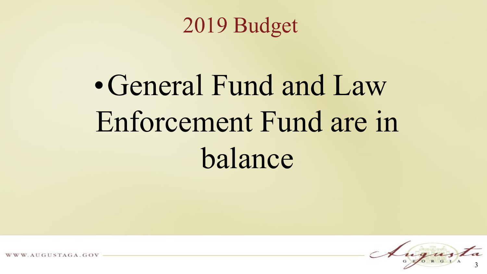2019 Budget

# • General Fund and Law Enforcement Fund are in balance



AUGUSTAGA.GOV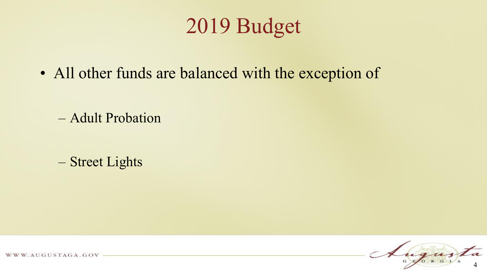### 2019 Budget

• All other funds are balanced with the exception of

– Adult Probation

– Street Lights



WWW.AUGUSTAGA.GOV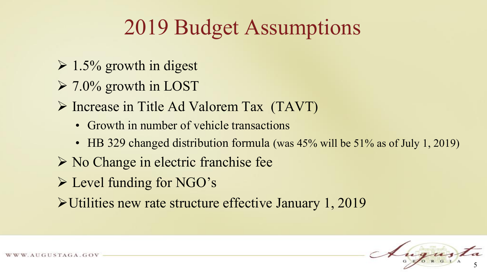### 2019 Budget Assumptions

- $\geq 1.5\%$  growth in digest
- $\geq 7.0\%$  growth in LOST
- Increase in Title Ad Valorem Tax (TAVT)
	- Growth in number of vehicle transactions
	- HB 329 changed distribution formula (was 45% will be 51% as of July 1, 2019)
- $\triangleright$  No Change in electric franchise fee
- Level funding for NGO's
- Utilities new rate structure effective January 1, 2019

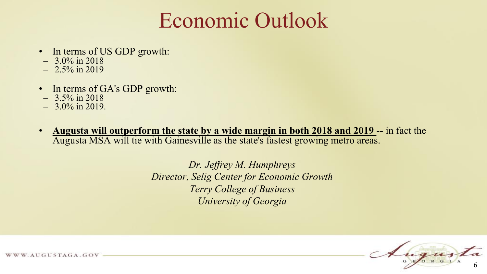### Economic Outlook

- In terms of US GDP growth:
- $-3.0\%$  in 2018
- $-2.5\%$  in 2019
- In terms of GA's GDP growth:
- $-$  3.5% in 2018
- $-3.0\%$  in 2019.
- **Augusta will outperform the state by a wide margin in both 2018 and 2019** -- in fact the Augusta MSA will tie with Gainesville as the state's fastest growing metro areas.

*Dr. Jeffrey M. Humphreys Director, Selig Center for Economic Growth Terry College of Business University of Georgia*



WWW.AUGUSTAGA.GOV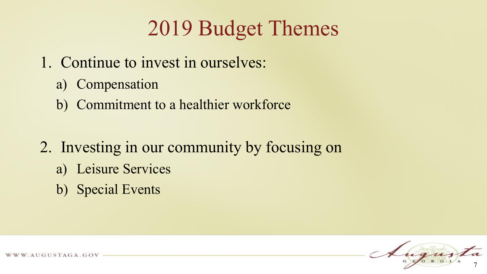## 2019 Budget Themes

- 1. Continue to invest in ourselves:
	- a) Compensation
	- b) Commitment to a healthier workforce
- 2. Investing in our community by focusing on
	- a) Leisure Services
	- b) Special Events



AUGUSTAGA.GOV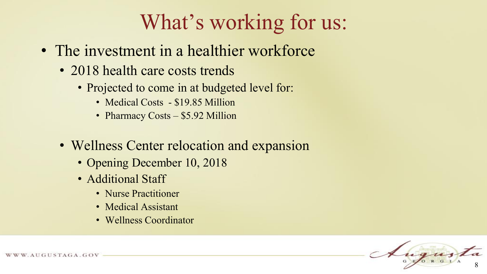## What's working for us:

- The investment in a healthier workforce
	- 2018 health care costs trends
		- Projected to come in at budgeted level for:
			- Medical Costs \$19.85 Million
			- Pharmacy Costs \$5.92 Million
	- Wellness Center relocation and expansion
		- Opening December 10, 2018
		- Additional Staff
			- Nurse Practitioner
			- Medical Assistant
			- Wellness Coordinator

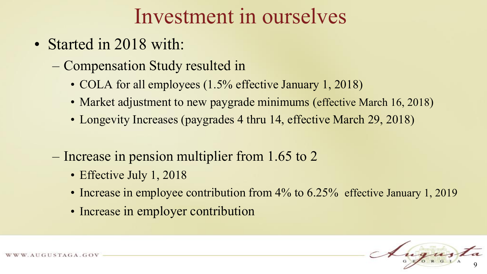### Investment in ourselves

- Started in 2018 with:
	- Compensation Study resulted in
		- COLA for all employees  $(1.5\%$  effective January 1, 2018)
		- Market adjustment to new paygrade minimums (effective March 16, 2018)
		- Longevity Increases (paygrades 4 thru 14, effective March 29, 2018)
	- Increase in pension multiplier from 1.65 to 2
		- Effective July 1, 2018
		- Increase in employee contribution from 4% to 6.25% effective January 1, 2019
		- Increase in employer contribution

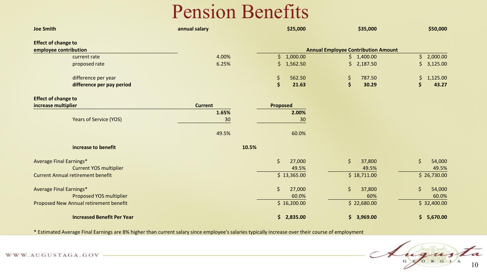#### Pension Benefits

| <b>Joe Smith</b>                         | annual salary  | \$25,000        | \$35,000                                   | \$50,000          |
|------------------------------------------|----------------|-----------------|--------------------------------------------|-------------------|
| <b>Effect of change to</b>               |                |                 |                                            |                   |
| employee contribution                    |                |                 | <b>Annual Employee Contribution Amount</b> |                   |
| current rate                             | 4.00%          | \$1,000.00      | \$1,400.00                                 | 2,000.00<br>\$    |
| proposed rate                            | 6.25%          | \$1,562.50      | \$2,187.50                                 | \$<br>3,125.00    |
| difference per year                      |                | \$<br>562.50    | \$<br>787.50                               | \$<br>1,125.00    |
| difference per pay period                |                | \$<br>21.63     | \$<br>30.29                                | \$<br>43.27       |
| <b>Effect of change to</b>               |                |                 |                                            |                   |
| increase multiplier                      | <b>Current</b> | <b>Proposed</b> |                                            |                   |
|                                          | 1.65%          | 2.00%           |                                            |                   |
| <b>Years of Service (YOS)</b>            | 30             | 30              |                                            |                   |
|                                          | 49.5%          | 60.0%           |                                            |                   |
| increase to benefit                      | 10.5%          |                 |                                            |                   |
| <b>Average Final Earnings*</b>           |                | \$<br>27,000    | $\zeta$<br>37,800                          | $\zeta$<br>54,000 |
| <b>Current YOS multiplier</b>            |                | 49.5%           | 49.5%                                      | 49.5%             |
| <b>Current Annual retirement benefit</b> |                | \$13,365.00     | \$18,711.00                                | \$26,730.00       |
| <b>Average Final Earnings*</b>           |                | \$<br>27,000    | $\zeta$<br>37,800                          | \$<br>54,000      |
| Proposed YOS multiplier                  |                | 60.0%           | 60%                                        | 60.0%             |
| Proposed New Annual retirement benefit   |                | \$16,200.00     | \$22,680.00                                | \$32,400.00       |
| <b>Increased Benefit Per Year</b>        |                | \$2,835.00      | \$3,969.00                                 | \$<br>5,670.00    |

\* Estimated Average Final Earnings are 8% higher than current salary since employee's salaries typically increase over their course of employment

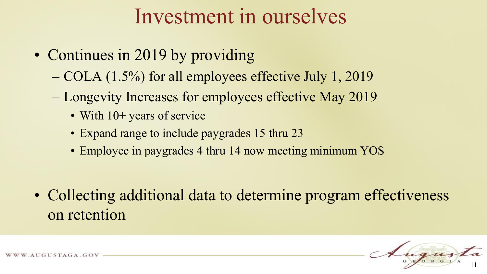### Investment in ourselves

- Continues in 2019 by providing
	- COLA (1.5%) for all employees effective July 1, 2019
	- Longevity Increases for employees effective May 2019
		- With 10+ years of service
		- Expand range to include paygrades 15 thru 23
		- Employee in paygrades 4 thru 14 now meeting minimum YOS

• Collecting additional data to determine program effectiveness on retention

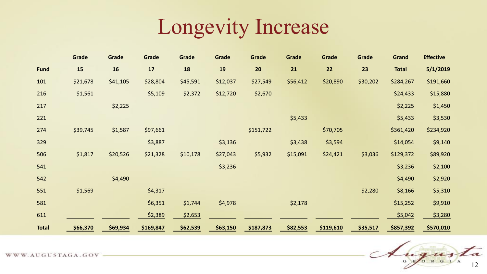### Longevity Increase

|              | Grade    | Grade    | Grade     | Grade    | Grade    | Grade     | Grade    | Grade     | Grade    | <b>Grand</b> | <b>Effective</b> |
|--------------|----------|----------|-----------|----------|----------|-----------|----------|-----------|----------|--------------|------------------|
| <b>Fund</b>  | 15       | 16       | 17        | 18       | 19       | 20        | 21       | 22        | 23       | <b>Total</b> | 5/1/2019         |
| 101          | \$21,678 | \$41,105 | \$28,804  | \$45,591 | \$12,037 | \$27,549  | \$56,412 | \$20,890  | \$30,202 | \$284,267    | \$191,660        |
| 216          | \$1,561  |          | \$5,109   | \$2,372  | \$12,720 | \$2,670   |          |           |          | \$24,433     | \$15,880         |
| 217          |          | \$2,225  |           |          |          |           |          |           |          | \$2,225      | \$1,450          |
| 221          |          |          |           |          |          |           | \$5,433  |           |          | \$5,433      | \$3,530          |
| 274          | \$39,745 | \$1,587  | \$97,661  |          |          | \$151,722 |          | \$70,705  |          | \$361,420    | \$234,920        |
| 329          |          |          | \$3,887   |          | \$3,136  |           | \$3,438  | \$3,594   |          | \$14,054     | \$9,140          |
| 506          | \$1,817  | \$20,526 | \$21,328  | \$10,178 | \$27,043 | \$5,932   | \$15,091 | \$24,421  | \$3,036  | \$129,372    | \$89,920         |
| 541          |          |          |           |          | \$3,236  |           |          |           |          | \$3,236      | \$2,100          |
| 542          |          | \$4,490  |           |          |          |           |          |           |          | \$4,490      | \$2,920          |
| 551          | \$1,569  |          | \$4,317   |          |          |           |          |           | \$2,280  | \$8,166      | \$5,310          |
| 581          |          |          | \$6,351   | \$1,744  | \$4,978  |           | \$2,178  |           |          | \$15,252     | \$9,910          |
| 611          |          |          | \$2,389   | \$2,653  |          |           |          |           |          | \$5,042      | \$3,280          |
| <b>Total</b> | \$66,370 | \$69,934 | \$169,847 | \$62,539 | \$63,150 | \$187,873 | \$82,553 | \$119,610 | \$35,517 | \$857,392    | \$570,010        |



WWW.AUGUSTAGA.GOV -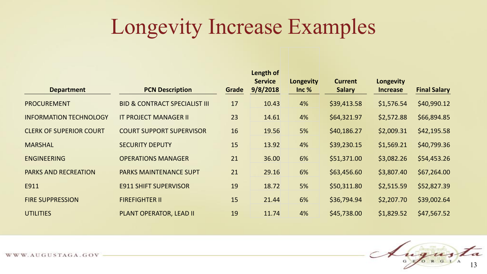### Longevity Increase Examples

| <b>Department</b>              | <b>PCN Description</b>                   | Grade | Length of<br><b>Service</b><br>9/8/2018 | Longevity<br>Inc % | <b>Current</b><br><b>Salary</b> | Longevity<br><b>Increase</b> | <b>Final Salary</b> |
|--------------------------------|------------------------------------------|-------|-----------------------------------------|--------------------|---------------------------------|------------------------------|---------------------|
| <b>PROCUREMENT</b>             | <b>BID &amp; CONTRACT SPECIALIST III</b> | 17    | 10.43                                   | 4%                 | \$39,413.58                     | \$1,576.54                   | \$40,990.12         |
| <b>INFORMATION TECHNOLOGY</b>  | <b>IT PROJECT MANAGER II</b>             | 23    | 14.61                                   | 4%                 | \$64,321.97                     | \$2,572.88                   | \$66,894.85         |
| <b>CLERK OF SUPERIOR COURT</b> | <b>COURT SUPPORT SUPERVISOR</b>          | 16    | 19.56                                   | 5%                 | \$40,186.27                     | \$2,009.31                   | \$42,195.58         |
| <b>MARSHAL</b>                 | <b>SECURITY DEPUTY</b>                   | 15    | 13.92                                   | 4%                 | \$39,230.15                     | \$1,569.21                   | \$40,799.36         |
| <b>ENGINEERING</b>             | <b>OPERATIONS MANAGER</b>                | 21    | 36.00                                   | 6%                 | \$51,371.00                     | \$3,082.26                   | \$54,453.26         |
| <b>PARKS AND RECREATION</b>    | <b>PARKS MAINTENANCE SUPT</b>            | 21    | 29.16                                   | 6%                 | \$63,456.60                     | \$3,807.40                   | \$67,264.00         |
| E911                           | <b>E911 SHIFT SUPERVISOR</b>             | 19    | 18.72                                   | 5%                 | \$50,311.80                     | \$2,515.59                   | \$52,827.39         |
| <b>FIRE SUPPRESSION</b>        | <b>FIREFIGHTER II</b>                    | 15    | 21.44                                   | 6%                 | \$36,794.94                     | \$2,207.70                   | \$39,002.64         |
| <b>UTILITIES</b>               | <b>PLANT OPERATOR, LEAD II</b>           | 19    | 11.74                                   | 4%                 | \$45,738.00                     | \$1,829.52                   | \$47,567.52         |

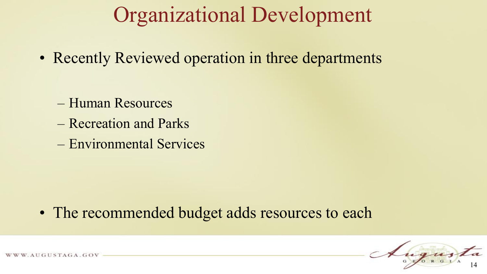### Organizational Development

• Recently Reviewed operation in three departments

- Human Resources
- Recreation and Parks
- Environmental Services

• The recommended budget adds resources to each



AUGUSTAGA.GOV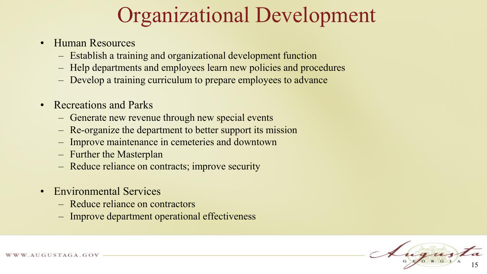### Organizational Development

- Human Resources
	- Establish a training and organizational development function
	- Help departments and employees learn new policies and procedures
	- Develop a training curriculum to prepare employees to advance
- Recreations and Parks
	- Generate new revenue through new special events
	- Re-organize the department to better support its mission
	- Improve maintenance in cemeteries and downtown
	- Further the Masterplan
	- Reduce reliance on contracts; improve security
- Environmental Services
	- Reduce reliance on contractors
	- Improve department operational effectiveness

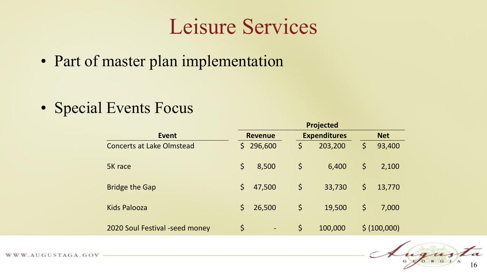### Leisure Services

• Part of master plan implementation

• Special Events Focus

|                                  | <b>Projected</b> |                              |             |                     |    |              |  |  |
|----------------------------------|------------------|------------------------------|-------------|---------------------|----|--------------|--|--|
| <b>Event</b>                     |                  | <b>Revenue</b>               |             | <b>Expenditures</b> |    | <b>Net</b>   |  |  |
| <b>Concerts at Lake Olmstead</b> | $\mathsf{S}$     | 296,600                      | \$          | 203,200             | \$ | 93,400       |  |  |
| 5K race                          | \$               | 8,500                        | $\varsigma$ | 6,400               | \$ | 2,100        |  |  |
| <b>Bridge the Gap</b>            | \$               | 47,500                       | $\zeta$     | 33,730              | \$ | 13,770       |  |  |
| Kids Palooza                     | $\mathsf{S}$     | 26,500                       | $\zeta$     | 19,500              | \$ | 7,000        |  |  |
| 2020 Soul Festival -seed money   | $\varsigma$      | $\qquad \qquad \blacksquare$ | \$          | 100,000             |    | \$ (100,000) |  |  |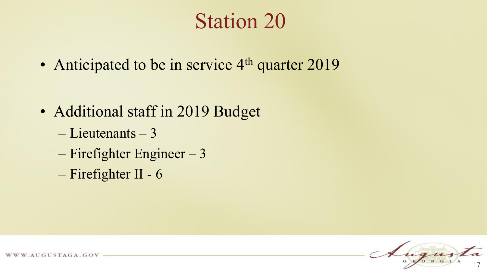### Station 20

• Anticipated to be in service 4<sup>th</sup> quarter 2019

- Additional staff in 2019 Budget
	- Lieutenants 3
	- Firefighter Engineer 3
	- Firefighter II 6

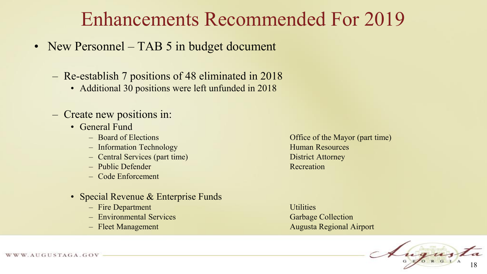#### Enhancements Recommended For 2019

- New Personnel TAB 5 in budget document
	- Re-establish 7 positions of 48 eliminated in 2018
		- Additional 30 positions were left unfunded in 2018
	- Create new positions in:
		- General Fund
			-
			- Information Technology **Human Resources**
			- Central Services (part time) District Attorney
			- Public Defender Recreation
			- Code Enforcement
		- Special Revenue & Enterprise Funds
			- Fire Department Utilities
			- Environmental Services Garbage Collection
			-

– Board of Elections Office of the Mayor (part time)

– Fleet Management Augusta Regional Airport

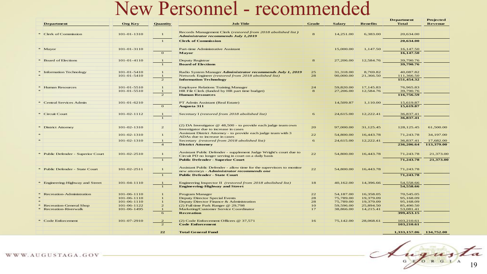#### New Personnel - recommended

|  |                                    |                   |                                |                                                                                                             |                 |               |                 | <b>Department</b>        | <b>Projected</b> |
|--|------------------------------------|-------------------|--------------------------------|-------------------------------------------------------------------------------------------------------------|-----------------|---------------|-----------------|--------------------------|------------------|
|  | <b>Department</b>                  | <b>Org Key</b>    | Quantity                       | <b>Job Title</b>                                                                                            | <b>Grade</b>    | <b>Salary</b> | <b>Benefits</b> | <b>Total</b>             | <b>Revenue</b>   |
|  | Clerk of Commission                | 101-01-1310       |                                | Records Management Clerk (restored from 2018 abolished list)<br><b>Administrator recommends July 1,2019</b> | 8               | 14,251.00     | 6,383.00        | 20,634.00                |                  |
|  |                                    |                   | $\mathbf{1}$                   | <b>Clerk of Commission</b>                                                                                  |                 |               |                 | 20,634.00                |                  |
|  |                                    |                   |                                |                                                                                                             |                 |               |                 |                          |                  |
|  | * Mayor                            | 101-01-3110       | $\mathbf{o}$                   | <b>Part-time Administrative Assistant</b><br><b>Mayor</b>                                                   |                 | 15,000.00     | 1,147.50        | 16,147.50<br>16,147.50   |                  |
|  |                                    |                   |                                |                                                                                                             |                 |               |                 |                          |                  |
|  | * Board of Elections               | $101 - 01 - 4110$ | 1                              | Deputy Registrar                                                                                            | 8               | 27,206.00     | 12,584.76       | 39,790.76                |                  |
|  |                                    |                   | $\mathbf{1}$                   | <b>Board of Elections</b>                                                                                   |                 |               |                 | 39,790.76                |                  |
|  |                                    |                   |                                |                                                                                                             |                 |               |                 |                          |                  |
|  | Information Technology             | $101 - 01 - 5410$ | $\mathbf{1}$                   | Radio System Manager Administrator recommends July 1, 2019                                                  | 25<br>28        | 31,318.00     | 8,769.82        | 40.087.82                |                  |
|  |                                    | $101 - 01 - 5410$ | $\mathbf{1}$<br>$\overline{2}$ | Network Engineer (restored from 2018 abolished list)<br><b>Information Technology</b>                       |                 | 90,000.00     | 21,366.50       | 111,366.50<br>151,454.32 |                  |
|  |                                    |                   |                                |                                                                                                             |                 |               |                 |                          |                  |
|  | <b>Human Resources</b>             | $101 - 01 - 5510$ | $\mathbf{1}$                   | <b>Employee Relations Training Manager</b>                                                                  | 24              | 59,820.00     | 17,145.83       | 76,965.83                |                  |
|  |                                    | $101 - 01 - 5510$ | 1                              | HR File Clerk (funded by HR part time budget)                                                               | 8               | 27,206.00     | 12,584.76       | 39,790.76                |                  |
|  |                                    |                   | $\overline{2}$                 | <b>Human Resources</b>                                                                                      |                 |               |                 | 116,756.59               |                  |
|  |                                    |                   |                                |                                                                                                             |                 |               |                 |                          |                  |
|  | * Central Services Admin           | $101 - 01 - 6210$ |                                | PT Admin Assistant (Real Estate)                                                                            |                 | 14,509.87     | 1,110.00        | 15,619.87                |                  |
|  |                                    |                   | $\mathbf{o}$                   | <b>Augusta 311</b>                                                                                          |                 |               |                 | 15,619.87                |                  |
|  | * Circuit Court                    | 101-02-1112       | $\mathbf{1}$                   | Secretary I (restored from 2018 abolished list)                                                             | 6               | 24,615.00     | 12,222.41       | 36,837.41                |                  |
|  |                                    |                   |                                |                                                                                                             |                 |               |                 | 36,837.41                |                  |
|  |                                    |                   |                                |                                                                                                             |                 |               |                 |                          |                  |
|  |                                    |                   |                                | (2) DA Investigator $@$ 48,500 - to provide each judge team own                                             |                 |               |                 |                          |                  |
|  | * District Attorney                | 101-02-1310       | 2                              | Investigator due to increase in cases                                                                       | 20 <sub>2</sub> | 97,000.00     | 31,125.45       | 128, 125. 45             | 61,500.00        |
|  |                                    | 101-02-1310       | $\mathbf{1}$                   | Assistant District Attorney - to provide each judge team with 3                                             | 22              | 54,800.00     | 16,443.78       | 71,243.78                | 34,197.00        |
|  |                                    |                   |                                | ADAs due to increase in cases                                                                               |                 |               |                 |                          |                  |
|  |                                    | 101-02-1310       | $\mathbf{1}$                   | Secretary (restored from 2018 abolished list)                                                               | 6               | 24,615.00     | 12,222.41       | 36,837.41                | 17,682.00        |
|  |                                    |                   | $\overline{4}$                 | <b>District Attorney</b>                                                                                    |                 |               |                 | 236,206.64               | 113,379.00       |
|  |                                    |                   |                                | Assistant Public Defender - supplement Judge Wright's court due to                                          |                 |               |                 |                          |                  |
|  | * Public Defender - Superior Court | $101 - 02 - 2510$ | $\mathbf{1}$                   | Circuit PD no longer serving in court on a daily basis                                                      | 22              | 54,800.00     | 16,443.78       | 71,243.78                | 21,373.00        |
|  |                                    |                   | $\mathbf{1}$                   | <b>Public Defender - Superior Court</b>                                                                     |                 |               |                 | 71,243.78                | 21,373.00        |
|  |                                    |                   |                                |                                                                                                             |                 |               |                 |                          |                  |
|  | * Public Defender - State Court    | $101 - 02 - 2511$ | $\mathbf{1}$                   | Assistant Public Defender - allow time for the supervisors to monitor                                       | 22              | 54,800.00     | 16,443.78       | 71,243.78                |                  |
|  |                                    |                   |                                | new attorneys - Administrator recommends one                                                                |                 |               |                 |                          |                  |
|  |                                    |                   | $\mathbf{1}$                   | <b>Public Defender - State Court</b>                                                                        |                 |               |                 | 71,243.78                |                  |
|  | * Engineering-Highway and Street   | 101-04-1110       | $\mathbf{1}$                   | Engineering Inspector II (restored from 2018 abolished list)                                                | 18              | 40,162.00     | 14,396.66       | 54,558.66                |                  |
|  |                                    |                   | $\mathbf{1}$                   | <b>Engineering-Highway and Street</b>                                                                       |                 |               |                 | 54,558.66                |                  |
|  |                                    |                   |                                |                                                                                                             |                 |               |                 |                          |                  |
|  | <b>Recreation-Administration</b>   | 101-06-1110       |                                | Program Manager                                                                                             | 22              | 54,187.00     | 16,358.05       | 70,545.05                |                  |
|  |                                    | 101-06-1110       |                                | <b>Deputy Director Special Events</b>                                                                       | 28              | 75,789.00     | 19,379.09       | 95,168.09                |                  |
|  |                                    | 101-06-1110       |                                | Deputy Director Finance & Administration                                                                    | 28              | 75,789.00     | 19,379.09       | 95,168.09                |                  |
|  | Recreation-General Shop            | 101-06-1122       | $\overline{2}$                 | $(2)$ Full time Park Ranger @ 29,798                                                                        | 1O              | 59,596.00     | 25,894.50       | 85,490.50                |                  |
|  | * Recreation-Riverwalk             | 101-06-1495       |                                | Marketing/Customer Service Coordinator                                                                      | 17              | 38,866.00     | 14,215.41       | 53,081.41                |                  |
|  |                                    |                   | 6                              | <b>Recreation</b>                                                                                           |                 |               |                 | 399,453.15               |                  |
|  | * Code Enforcement                 | 101-07-2910       | 2                              | (2) Code Enforcement Officers @ 37,571                                                                      | 16              | 75,142.00     | 28,068.61       | 103,210.61               |                  |
|  |                                    |                   | $\overline{2}$                 | <b>Code Enforcement</b>                                                                                     |                 |               |                 | 103,210.61               |                  |
|  |                                    |                   |                                |                                                                                                             |                 |               |                 |                          |                  |
|  |                                    |                   | 22                             | <b>Total General Fund</b>                                                                                   |                 |               |                 | 1,333,157.06 134,752.00  |                  |



WWW.AUGUSTAGA.GOV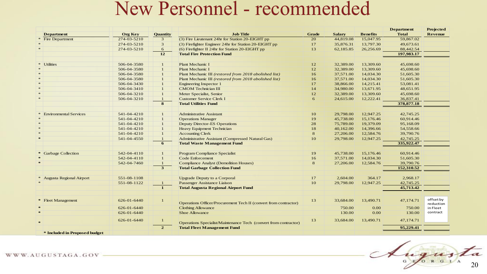#### New Personnel - recommended

|                               |                |                 |                                                                  |              |               |                 | <b>Department</b> | Projected            |
|-------------------------------|----------------|-----------------|------------------------------------------------------------------|--------------|---------------|-----------------|-------------------|----------------------|
| <b>Department</b>             | <b>Org Key</b> | <b>Quantity</b> | <b>Job Title</b>                                                 | <b>Grade</b> | <b>Salary</b> | <b>Benefits</b> | <b>Total</b>      | Revenue              |
| <b>Fire Department</b>        | 274-03-5210    | $\mathbf{3}$    | (3) Fire Lieutenant 24hr for Station 20-EIGHT pp                 | 20           | 44,819.08     | 15,047.95       | 59,867.02         |                      |
|                               | 274-03-5210    | 3               | (3) Firefighter Engineer 24hr for Station 20-EIGHT pp            | 17           | 35,876.31     | 13,797.30       | 49,673.61         |                      |
|                               | 274-03-5210    | 6               | (6) Firefighter II 24hr for Station 20-EIGHT pp                  | 13           | 62,185.85     | 26,256.69       | 88,442.54         |                      |
|                               |                | 12              | <b>Total Fire Protection Fund</b>                                |              |               |                 | 197,983.17        |                      |
|                               |                |                 |                                                                  |              |               |                 |                   |                      |
| $*$<br><b>Utilities</b>       | 506-04-3580    |                 | Plant Mechanic I                                                 | 12           | 32,389.00     | 13,309.60       | 45,698.60         |                      |
|                               | 506-04-3580    |                 | Plant Mechanic I                                                 | 12           | 32,389.00     | 13,309.60       | 45,698.60         |                      |
|                               | 506-04-3580    |                 | Plant Mechanic III (restored from 2018 abolished list)           | 16           | 37,571.00     | 14,034.30       | 51,605.30         |                      |
|                               | 506-04-3580    |                 | Plant Mechanic III (restored from 2018 abolished list)           | 16           | 37,571.00     | 14,034.30       | 51,605.30         |                      |
|                               | 506-04-3430    | $\mathbf{1}$    | <b>Engineering Inspector 1</b>                                   | 17           | 38,866.00     | 14,215.41       | 53,081.41         |                      |
|                               | 506-04-3410    |                 | <b>CMOM</b> Technician III                                       | 14           | 34,980.00     | 13,671.95       | 48,651.95         |                      |
|                               | 506-04-3210    |                 | Meter Specialist, Senior                                         | 12           | 32,389.00     | 13,309.60       | 45,698.60         |                      |
| $*$                           | 506-04-3210    |                 | <b>Customer Service Clerk I</b>                                  | 6            | 24,615.00     | 12,222.41       | 36,837.41         |                      |
|                               |                | 8               | <b>Total Utilities Fund</b>                                      |              |               |                 | 378,877.18        |                      |
|                               |                |                 |                                                                  |              |               |                 |                   |                      |
| <b>Environmental Services</b> | 541-04-4210    |                 | <b>Administrative Assistant</b>                                  | 10           | 29,798.00     | 12,947.25       | 42,745.25         |                      |
|                               | 541-04-4210    |                 | <b>Operations Manager</b>                                        | 19           | 45,738.00     | 15,176.46       | 60,914.46         |                      |
|                               | 541-04-4210    | $\mathbf{1}$    | <b>Deputy Director-ES Operations</b>                             | 28           | 75,789.00     | 19,379.09       | 95,168.09         |                      |
|                               | 541-04-4210    | $\mathbf{1}$    | <b>Heavy Equipment Technician</b>                                | 18           | 40,162.00     | 14,396.66       | 54,558.66         |                      |
|                               | 541-04-4210    | $\mathbf{1}$    | <b>Accounting Clerk</b>                                          | 8            | 27,206.00     | 12,584.76       | 39,790.76         |                      |
| $\rightarrow$                 | 541-04-4550    | $\mathbf{1}$    | Administrative Assistant (Compressed Natural Gas)                | 10           | 29,798.00     | 12,947.25       | 42,745.25         |                      |
|                               |                | 6               | <b>Total Waste Management Fund</b>                               |              |               |                 | 335,922.47        |                      |
| * Garbage Collection          | 542-04-4110    | $\mathbf{1}$    | Program Compliance Specialist                                    |              | 45,738.00     | 15,176.46       | 60.914.46         |                      |
|                               | 542-04-4110    |                 | Code Enforcement                                                 | 19           | 37,571.00     | 14,034.30       |                   |                      |
|                               |                | $\mathbf{1}$    |                                                                  | 16           |               |                 | 51,605.30         |                      |
|                               | 542-04-7460    | 3               | <b>Compliance Analyst (Demolition Houses)</b>                    | 8            | 27,206.00     | 12,584.76       | 39,790.76         |                      |
|                               |                |                 | <b>Total Garbage Collection Fund</b>                             |              |               |                 | 152,310.52        |                      |
| Augusta Regional Airport      | 551-08-1108    |                 | <b>Upgrade Deputy to a Corporal</b>                              | 17           | 2,604.00      | 364.17          | 2,968.17          |                      |
|                               | 551-08-1122    |                 | Passenger Assistance Liaison                                     | 10           | 29,798.00     | 12,947.25       | 42,745.25         |                      |
|                               |                | $\mathbf{1}$    | <b>Total Augusta Regional Airport Fund</b>                       |              |               |                 | 45,713.42         |                      |
|                               |                |                 |                                                                  |              |               |                 |                   |                      |
| * Fleet Management            | 626-01-6440    |                 | Operations Officer/Procurement Tech II (convert from contractor) | 13           | 33,684.00     | 13,490.71       | 47,174.71         | offset by            |
|                               | 626-01-6440    |                 |                                                                  |              | 750.00        | 0.00            | 750.00            | reduction            |
| $\rightarrow$                 |                |                 | <b>Clothing Allowance</b><br>Shoe Allowance                      |              | 130.00        | 0.00            |                   | in Fleet<br>contract |
|                               | 626-01-6440    |                 |                                                                  |              |               |                 | 130.00            |                      |
| $\rightarrow$                 | 626-01-6440    |                 | Operations Specialist/Maintenance Tech (convert from contractor) | 13           | 33,684.00     | 13,490.71       | 47,174.71         |                      |
|                               |                | $\mathbf{2}$    | <b>Total Fleet Management Fund</b>                               |              |               |                 | 95,229.41         |                      |
| * Included in Proposed budget |                |                 |                                                                  |              |               |                 |                   |                      |

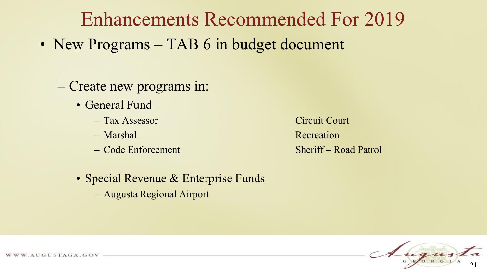### Enhancements Recommended For 2019

- New Programs TAB 6 in budget document
	- Create new programs in:
		- General Fund
			- Tax Assessor Circuit Court
			-
			-

– Marshal Recreation – Code Enforcement Sheriff – Road Patrol

- Special Revenue & Enterprise Funds
	- Augusta Regional Airport

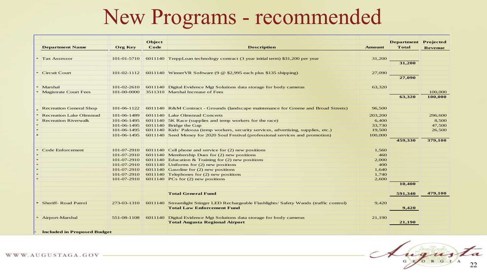### New Programs - recommended

| <b>Department Name</b>             | <b>Org Key</b>    | Object<br>Code | <b>Description</b>                                                                       | <b>Amount</b> | <b>Department</b> Projected<br><b>Total</b> | <b>Revenue</b> |
|------------------------------------|-------------------|----------------|------------------------------------------------------------------------------------------|---------------|---------------------------------------------|----------------|
|                                    |                   |                |                                                                                          |               |                                             |                |
| <b>Tax Assessor</b>                | $101 - 01 - 5710$ |                | 6011140 TreppLoan technology contract (3 year initial term) \$31,200 per year            | 31,200        |                                             |                |
|                                    |                   |                |                                                                                          |               | 31,200                                      |                |
| <b>Circuit Court</b>               | $101 - 02 - 1112$ |                | 6011140 WinnerVR Software (9 @ \$2,995 each plus \$135 shipping)                         | 27,090        |                                             |                |
|                                    |                   |                |                                                                                          |               | 27,090                                      |                |
| Marshal                            | 101-02-2610       |                | 6011140 Digital Evidence Mgt Solutions data storage for body cameras                     | 63,320        |                                             |                |
| <b>Magistrate Court Fees</b>       | 101-00-0000       |                | 3511310 Marshal Increase of Fees                                                         |               |                                             | 100,000        |
|                                    |                   |                |                                                                                          |               | 63,320                                      | 100,000        |
| <b>Recreation General Shop</b>     | 101-06-1122       |                | 6011140 R&M Contract - Grounds (landscape maintenance for Greene and Broad Streets)      | 96,500        |                                             |                |
| <b>Recreation Lake Olmstead</b>    | 101-06-1489       |                | 6011140 Lake Olmstead Concerts                                                           | 203,200       |                                             | 296,600        |
| <b>Recreation Riverwalk</b>        | 101-06-1495       |                | 6011140 5K Race (supplies and temp workers for the race)                                 | 6,400         |                                             | 8,500          |
|                                    | 101-06-1495       |                | 6011140 Bridge the Gap                                                                   | 33,730        |                                             | 47,500         |
|                                    | 101-06-1495       |                | 6011140 Kids' Palooza (temp workers, security services, advertising, supplies, etc.)     | 19,500        |                                             | 26,500         |
|                                    | 101-06-1495       |                | 6011140 Seed Money for 2020 Soul Festival (professional services and promotion)          | 100,000       |                                             |                |
|                                    |                   |                |                                                                                          |               | 459,330                                     | 379,100        |
| <b>Code Enforcement</b>            | 101-07-2910       |                | 6011140 Cell phone and service for $(2)$ new positions                                   | 1,560         |                                             |                |
|                                    | 101-07-2910       |                | 6011140 Membership Dues for $(2)$ new positions                                          | 460           |                                             |                |
|                                    | 101-07-2910       |                | 6011140 Education & Training for $(2)$ new positions                                     | 2,000         |                                             |                |
|                                    | 101-07-2910       |                | 6011140 Uniforms for $(2)$ new positions                                                 | 400           |                                             |                |
|                                    | 101-07-2910       |                | $6011140$ Gasoline for (2) new positions                                                 | 1,640         |                                             |                |
|                                    | 101-07-2910       |                | 6011140 Telephones for $(2)$ new positions                                               | 1.740         |                                             |                |
|                                    | 101-07-2910       |                | 6011140 PCs for $(2)$ new positions                                                      | 2,600         |                                             |                |
|                                    |                   |                |                                                                                          |               | 10,400                                      |                |
|                                    |                   |                | <b>Total General Fund</b>                                                                |               | 591,340                                     | 479,100        |
| <b>Sheriff-Road Patrol</b>         | 273-03-1310       |                | 6011140 Streamlight Stinger LED Rechargeable Flashlights/ Safety Wands (traffic control) | 9,420         |                                             |                |
|                                    |                   |                | <b>Total Law Enforcement Fund</b>                                                        |               | 9,420                                       |                |
| * Airport-Marshal                  | 551-08-1108       |                | 6011140 Digital Evidence Mgt Solutions data storage for body cameras                     | 21,190        |                                             |                |
|                                    |                   |                | <b>Total Augusta Regional Airport</b>                                                    |               | 21,190                                      |                |
| <b>Included in Proposed Budget</b> |                   |                |                                                                                          |               |                                             |                |



WWW.AUGUSTAGA.GOV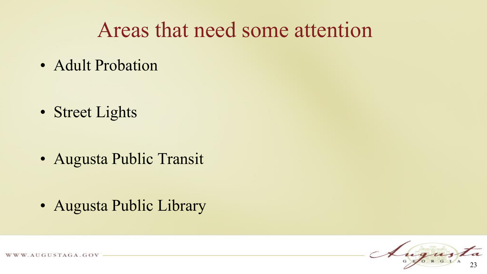• Adult Probation

• Street Lights

• Augusta Public Transit

• Augusta Public Library

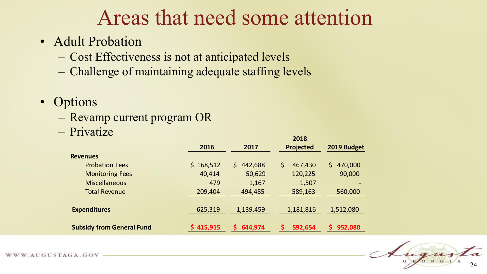#### • Adult Probation

- Cost Effectiveness is not at anticipated levels
- Challenge of maintaining adequate staffing levels
- Options
	- Revamp current program OR

– Privatize

|                                  | 2016      | 2017          | 2018<br><b>Projected</b> | 2019 Budget    |
|----------------------------------|-----------|---------------|--------------------------|----------------|
| <b>Revenues</b>                  |           |               |                          |                |
| <b>Probation Fees</b>            | \$168,512 | 442,688<br>\$ | 467,430                  | 470,000<br>\$. |
| <b>Monitoring Fees</b>           | 40,414    | 50,629        | 120,225                  | 90,000         |
| <b>Miscellaneous</b>             | 479       | 1,167         | 1,507                    |                |
| <b>Total Revenue</b>             | 209,404   | 494,485       | 589,163                  | 560,000        |
|                                  |           |               |                          |                |
| <b>Expenditures</b>              | 625,319   | 1,139,459     | 1,181,816                | 1,512,080      |
| <b>Subsidy from General Fund</b> | 415,915   | 644,974<br>ς. | 592,654                  | 952,080        |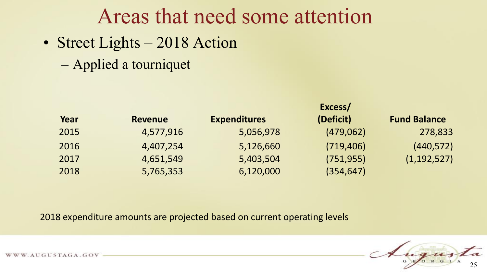• Street Lights – 2018 Action

– Applied a tourniquet

|      |                |                     | Excess/    |                     |
|------|----------------|---------------------|------------|---------------------|
| Year | <b>Revenue</b> | <b>Expenditures</b> | (Deficit)  | <b>Fund Balance</b> |
| 2015 | 4,577,916      | 5,056,978           | (479,062)  | 278,833             |
| 2016 | 4,407,254      | 5,126,660           | (719, 406) | (440, 572)          |
| 2017 | 4,651,549      | 5,403,504           | (751, 955) | (1, 192, 527)       |
| 2018 | 5,765,353      | 6,120,000           | (354, 647) |                     |

2018 expenditure amounts are projected based on current operating levels



WWW.AUGUSTAGA.GOV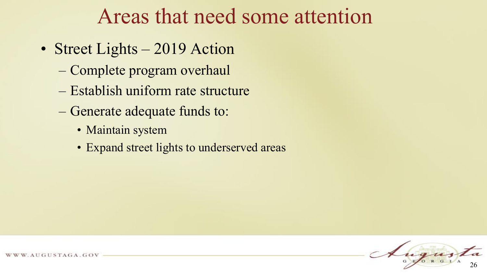- Street Lights 2019 Action
	- Complete program overhaul
	- Establish uniform rate structure
	- Generate adequate funds to:
		- Maintain system
		- Expand street lights to underserved areas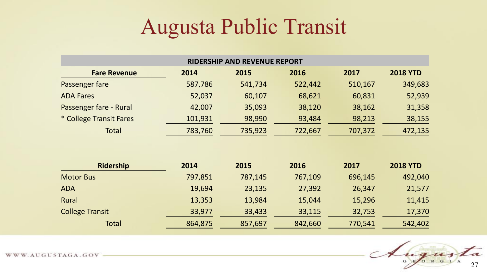### Augusta Public Transit

| <b>RIDERSHIP AND REVENUE REPORT</b> |         |         |         |         |                 |  |  |  |  |
|-------------------------------------|---------|---------|---------|---------|-----------------|--|--|--|--|
| <b>Fare Revenue</b>                 | 2014    | 2015    | 2016    | 2017    | <b>2018 YTD</b> |  |  |  |  |
| Passenger fare                      | 587,786 | 541,734 | 522,442 | 510,167 | 349,683         |  |  |  |  |
| <b>ADA Fares</b>                    | 52,037  | 60,107  | 68,621  | 60,831  | 52,939          |  |  |  |  |
| Passenger fare - Rural              | 42,007  | 35,093  | 38,120  | 38,162  | 31,358          |  |  |  |  |
| * College Transit Fares             | 101,931 | 98,990  | 93,484  | 98,213  | 38,155          |  |  |  |  |
| Total                               | 783,760 | 735,923 | 722,667 | 707,372 | 472,135         |  |  |  |  |
|                                     |         |         |         |         |                 |  |  |  |  |
| <b>Ridership</b>                    | 2014    | 2015    | 2016    | 2017    | <b>2018 YTD</b> |  |  |  |  |
| <b>Motor Bus</b>                    | 797,851 | 787,145 | 767,109 | 696,145 | 492,040         |  |  |  |  |
| <b>ADA</b>                          | 19,694  | 23,135  | 27,392  | 26,347  | 21,577          |  |  |  |  |
| Rural                               | 13,353  | 13,984  | 15,044  | 15,296  | 11,415          |  |  |  |  |
| <b>College Transit</b>              | 33,977  | 33,433  | 33,115  | 32,753  | 17,370          |  |  |  |  |

Total 864,875 857,697 842,660 770,541 542,402

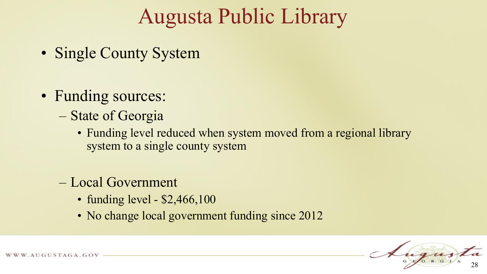### Augusta Public Library

- Single County System
- Funding sources:
	- State of Georgia
		- Funding level reduced when system moved from a regional library system to a single county system
	- Local Government
		- funding level \$2,466,100
		- No change local government funding since 2012



W. AUGUSTAGA.GOV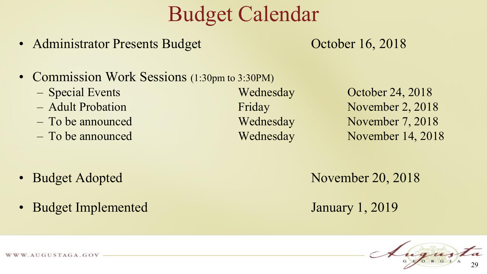### Budget Calendar

• Administrator Presents Budget October 16, 2018

- Commission Work Sessions (1:30pm to 3:30PM)
	-
	-
	-
	-

– Special Events Wednesday October 24, 2018 – Adult Probation Friday November 2, 2018 – To be announced Wednesday November 7, 2018 – To be announced Wednesday November 14, 2018

- 
- Budget Implemented January 1, 2019

• Budget Adopted November 20, 2018

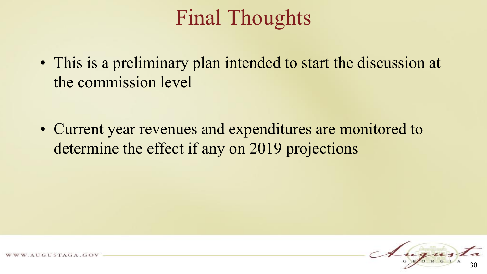### Final Thoughts

• This is a preliminary plan intended to start the discussion at the commission level

• Current year revenues and expenditures are monitored to determine the effect if any on 2019 projections

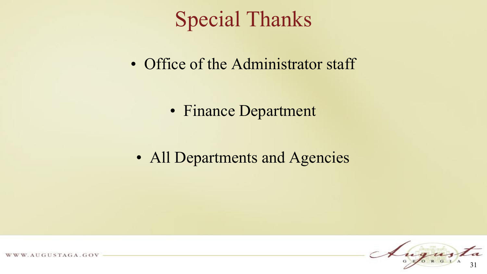### Special Thanks

• Office of the Administrator staff

• Finance Department

• All Departments and Agencies



WWW.AUGUSTAGA.GOV